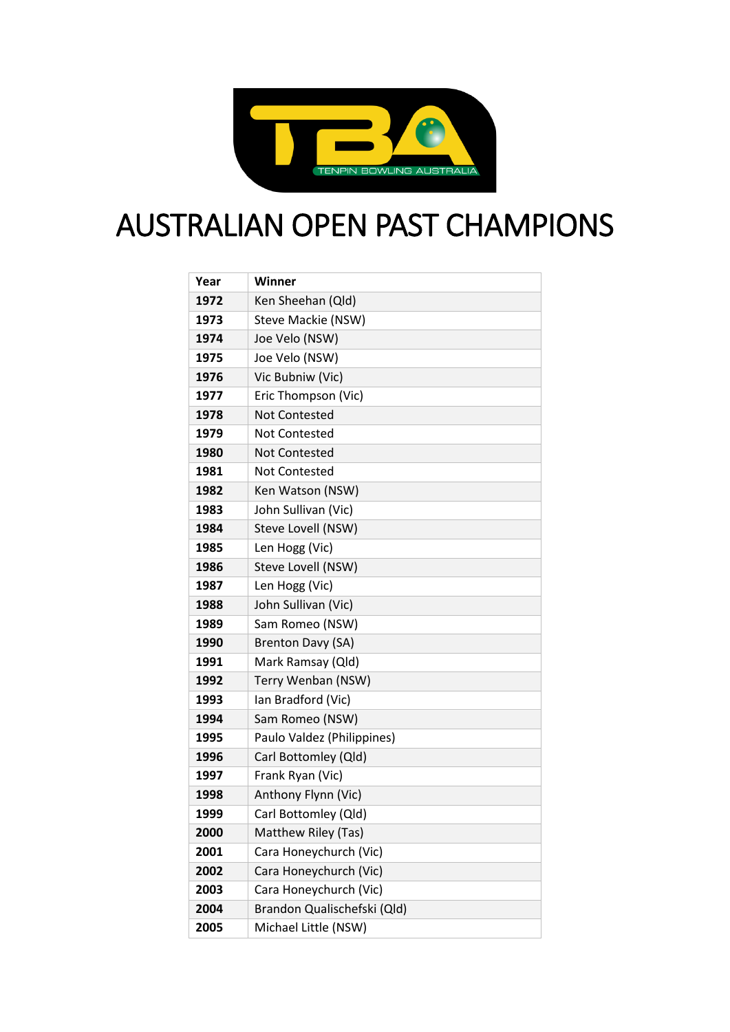

## AUSTRALIAN OPEN PAST CHAMPIONS

| Year | Winner                      |
|------|-----------------------------|
| 1972 | Ken Sheehan (Qld)           |
| 1973 | Steve Mackie (NSW)          |
| 1974 | Joe Velo (NSW)              |
| 1975 | Joe Velo (NSW)              |
| 1976 | Vic Bubniw (Vic)            |
| 1977 | Eric Thompson (Vic)         |
| 1978 | <b>Not Contested</b>        |
| 1979 | Not Contested               |
| 1980 | <b>Not Contested</b>        |
| 1981 | Not Contested               |
| 1982 | Ken Watson (NSW)            |
| 1983 | John Sullivan (Vic)         |
| 1984 | Steve Lovell (NSW)          |
| 1985 | Len Hogg (Vic)              |
| 1986 | Steve Lovell (NSW)          |
| 1987 | Len Hogg (Vic)              |
| 1988 | John Sullivan (Vic)         |
| 1989 | Sam Romeo (NSW)             |
| 1990 | Brenton Davy (SA)           |
| 1991 | Mark Ramsay (Qld)           |
| 1992 | Terry Wenban (NSW)          |
| 1993 | Ian Bradford (Vic)          |
| 1994 | Sam Romeo (NSW)             |
| 1995 | Paulo Valdez (Philippines)  |
| 1996 | Carl Bottomley (Qld)        |
| 1997 | Frank Ryan (Vic)            |
| 1998 | Anthony Flynn (Vic)         |
| 1999 | Carl Bottomley (Qld)        |
| 2000 | Matthew Riley (Tas)         |
| 2001 | Cara Honeychurch (Vic)      |
| 2002 | Cara Honeychurch (Vic)      |
| 2003 | Cara Honeychurch (Vic)      |
| 2004 | Brandon Qualischefski (Qld) |
| 2005 | Michael Little (NSW)        |